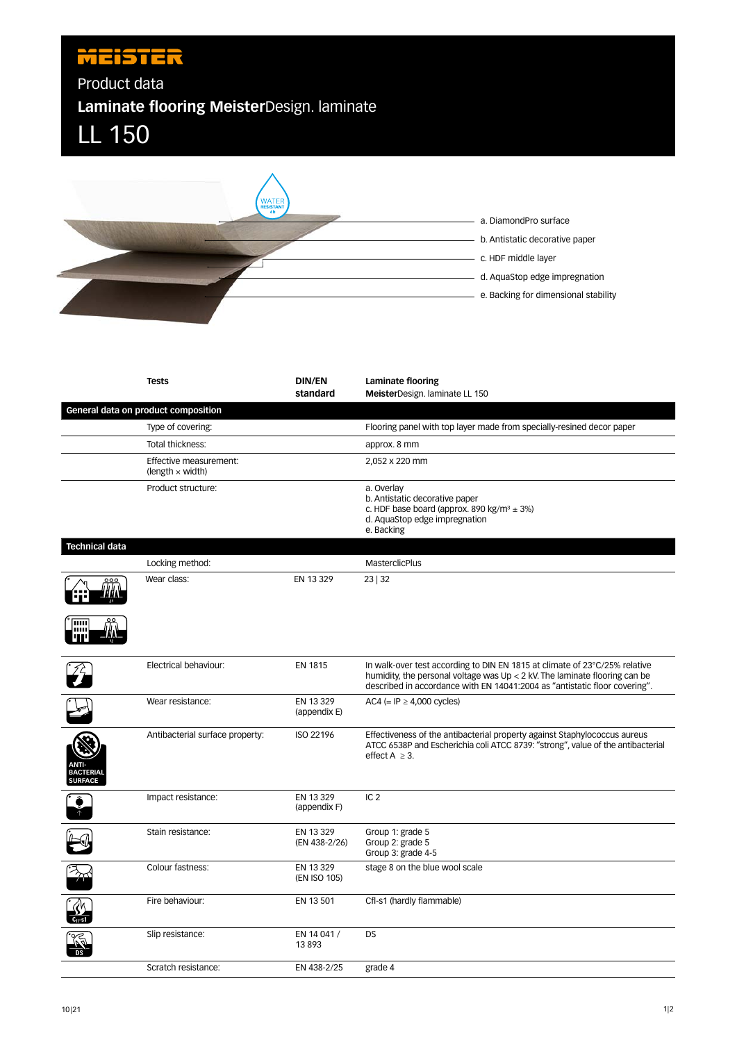## **MEISTER**

Product data

**Laminate flooring Meister**Design. laminate





|                                    | <b>Tests</b>                                      | <b>DIN/EN</b><br>standard  | Laminate flooring<br>MeisterDesign. laminate LL 150                                                                                                                                                                                      |
|------------------------------------|---------------------------------------------------|----------------------------|------------------------------------------------------------------------------------------------------------------------------------------------------------------------------------------------------------------------------------------|
|                                    | General data on product composition               |                            |                                                                                                                                                                                                                                          |
|                                    | Type of covering:                                 |                            | Flooring panel with top layer made from specially-resined decor paper                                                                                                                                                                    |
|                                    | Total thickness:                                  |                            | approx. 8 mm                                                                                                                                                                                                                             |
|                                    | Effective measurement:<br>(length $\times$ width) |                            | 2,052 x 220 mm                                                                                                                                                                                                                           |
|                                    | Product structure:                                |                            | a. Overlay<br>b. Antistatic decorative paper<br>c. HDF base board (approx. 890 kg/m <sup>3</sup> $\pm$ 3%)<br>d. AquaStop edge impregnation<br>e. Backing                                                                                |
| <b>Technical data</b>              |                                                   |                            |                                                                                                                                                                                                                                          |
|                                    | Locking method:                                   |                            | <b>MasterclicPlus</b>                                                                                                                                                                                                                    |
|                                    | Wear class:                                       | EN 13 329                  | 23 32                                                                                                                                                                                                                                    |
| шш                                 |                                                   |                            |                                                                                                                                                                                                                                          |
|                                    | Electrical behaviour:                             | EN 1815                    | In walk-over test according to DIN EN 1815 at climate of 23°C/25% relative<br>humidity, the personal voltage was $Up < 2$ kV. The laminate flooring can be<br>described in accordance with EN 14041:2004 as "antistatic floor covering". |
|                                    | Wear resistance:                                  | EN 13 329<br>(appendix E)  | AC4 (= $IP \geq 4,000$ cycles)                                                                                                                                                                                                           |
| <b>BACTERIAL</b><br><b>SURFACE</b> | Antibacterial surface property:                   | ISO 22196                  | Effectiveness of the antibacterial property against Staphylococcus aureus<br>ATCC 6538P and Escherichia coli ATCC 8739: "strong", value of the antibacterial<br>effect $A \geq 3$ .                                                      |
|                                    | Impact resistance:                                | EN 13 329<br>(appendix F)  | IC <sub>2</sub>                                                                                                                                                                                                                          |
|                                    | Stain resistance:                                 | EN 13 329<br>(EN 438-2/26) | Group 1: grade 5<br>Group 2: grade 5<br>Group 3: grade 4-5                                                                                                                                                                               |
|                                    | Colour fastness:                                  | EN 13 329<br>(EN ISO 105)  | stage 8 on the blue wool scale                                                                                                                                                                                                           |
|                                    | Fire behaviour:                                   | EN 13 501                  | Cfl-s1 (hardly flammable)                                                                                                                                                                                                                |
|                                    | Slip resistance:                                  | EN 14 041 /<br>13893       | <b>DS</b>                                                                                                                                                                                                                                |
|                                    | Scratch resistance:                               | EN 438-2/25                | grade 4                                                                                                                                                                                                                                  |